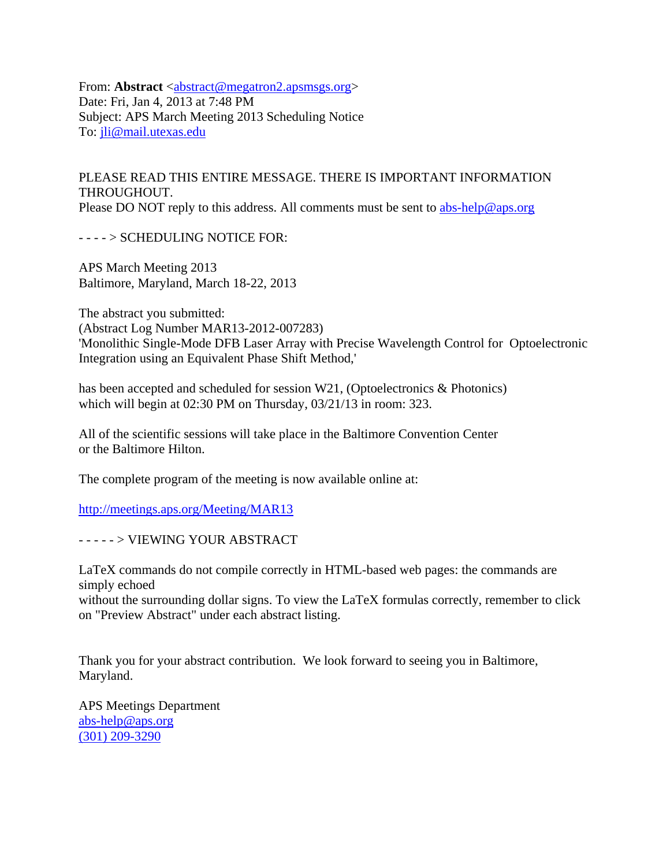From: **Abstract** <abstract@megatron2.apsmsgs.org> Date: Fri, Jan 4, 2013 at 7:48 PM Subject: APS March Meeting 2013 Scheduling Notice To: jli@mail.utexas.edu

PLEASE READ THIS ENTIRE MESSAGE. THERE IS IMPORTANT INFORMATION THROUGHOUT. Please DO NOT reply to this address. All comments must be sent to abs-help@aps.org

- - - - > SCHEDULING NOTICE FOR:

APS March Meeting 2013 Baltimore, Maryland, March 18-22, 2013

The abstract you submitted: (Abstract Log Number MAR13-2012-007283) 'Monolithic Single-Mode DFB Laser Array with Precise Wavelength Control for Optoelectronic Integration using an Equivalent Phase Shift Method,'

has been accepted and scheduled for session W21, (Optoelectronics & Photonics) which will begin at 02:30 PM on Thursday, 03/21/13 in room: 323.

All of the scientific sessions will take place in the Baltimore Convention Center or the Baltimore Hilton.

The complete program of the meeting is now available online at:

http://meetings.aps.org/Meeting/MAR13

- - - - - > VIEWING YOUR ABSTRACT

LaTeX commands do not compile correctly in HTML-based web pages: the commands are simply echoed

without the surrounding dollar signs. To view the LaTeX formulas correctly, remember to click on "Preview Abstract" under each abstract listing.

Thank you for your abstract contribution. We look forward to seeing you in Baltimore, Maryland.

APS Meetings Department abs-help@aps.org (301) 209-3290